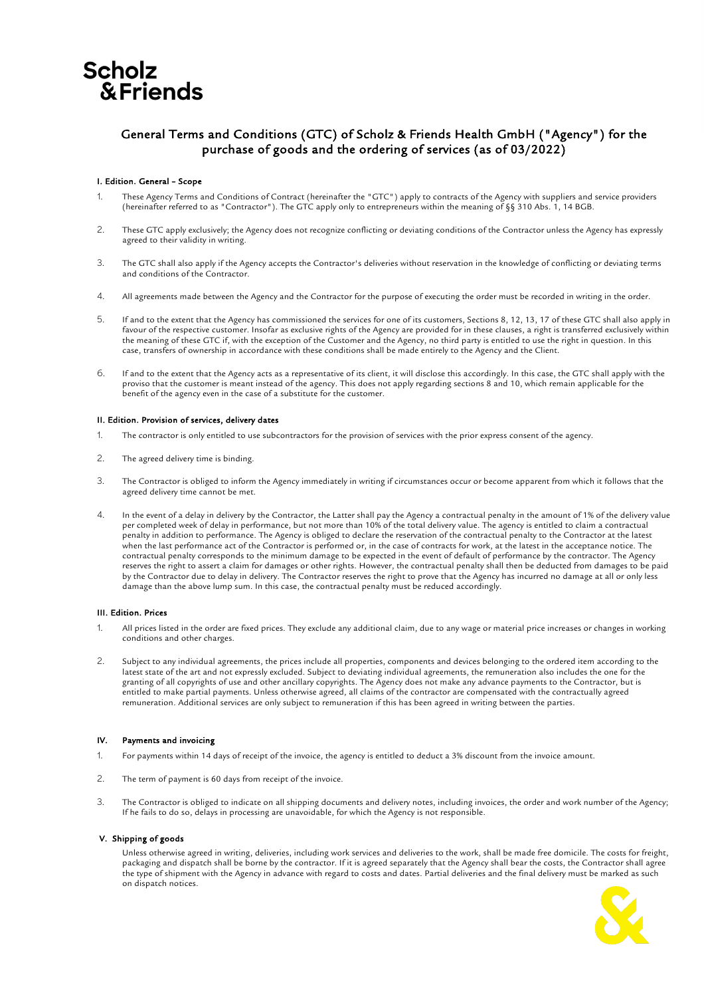

# General Terms and Conditions (GTC) of Scholz & Friends Health GmbH ("Agency") for the purchase of goods and the ordering of services (as of 03/2022)

# I. Edition. General – Scope

- These Agency Terms and Conditions of Contract (hereinafter the "GTC") apply to contracts of the Agency with suppliers and service providers (hereinafter referred to as "Contractor"). The GTC apply only to entrepreneurs within the meaning of §§ 310 Abs. 1, 14 BGB.
- 2. These GTC apply exclusively; the Agency does not recognize conflicting or deviating conditions of the Contractor unless the Agency has expressly agreed to their validity in writing.
- 3. The GTC shall also apply if the Agency accepts the Contractor's deliveries without reservation in the knowledge of conflicting or deviating terms and conditions of the Contractor.
- 4. All agreements made between the Agency and the Contractor for the purpose of executing the order must be recorded in writing in the order.
- 5. If and to the extent that the Agency has commissioned the services for one of its customers, Sections 8, 12, 13, 17 of these GTC shall also apply in favour of the respective customer. Insofar as exclusive rights of the Agency are provided for in these clauses, a right is transferred exclusively within the meaning of these GTC if, with the exception of the Customer and the Agency, no third party is entitled to use the right in question. In this case, transfers of ownership in accordance with these conditions shall be made entirely to the Agency and the Client.
- 6. If and to the extent that the Agency acts as a representative of its client, it will disclose this accordingly. In this case, the GTC shall apply with the proviso that the customer is meant instead of the agency. This does not apply regarding sections 8 and 10, which remain applicable for the benefit of the agency even in the case of a substitute for the customer.

#### II. Edition. Provision of services, delivery dates

- 1. The contractor is only entitled to use subcontractors for the provision of services with the prior express consent of the agency.
- 2. The agreed delivery time is binding.
- 3. The Contractor is obliged to inform the Agency immediately in writing if circumstances occur or become apparent from which it follows that the agreed delivery time cannot be met.
- 4. In the event of a delay in delivery by the Contractor, the Latter shall pay the Agency a contractual penalty in the amount of 1% of the delivery value per completed week of delay in performance, but not more than 10% of the total delivery value. The agency is entitled to claim a contractual penalty in addition to performance. The Agency is obliged to declare the reservation of the contractual penalty to the Contractor at the latest when the last performance act of the Contractor is performed or, in the case of contracts for work, at the latest in the acceptance notice. The contractual penalty corresponds to the minimum damage to be expected in the event of default of performance by the contractor. The Agency reserves the right to assert a claim for damages or other rights. However, the contractual penalty shall then be deducted from damages to be paid by the Contractor due to delay in delivery. The Contractor reserves the right to prove that the Agency has incurred no damage at all or only less damage than the above lump sum. In this case, the contractual penalty must be reduced accordingly.

#### III. Edition. Prices

- 1. All prices listed in the order are fixed prices. They exclude any additional claim, due to any wage or material price increases or changes in working conditions and other charges.
- 2. Subject to any individual agreements, the prices include all properties, components and devices belonging to the ordered item according to the latest state of the art and not expressly excluded. Subject to deviating individual agreements, the remuneration also includes the one for the granting of all copyrights of use and other ancillary copyrights. The Agency does not make any advance payments to the Contractor, but is entitled to make partial payments. Unless otherwise agreed, all claims of the contractor are compensated with the contractually agreed remuneration. Additional services are only subject to remuneration if this has been agreed in writing between the parties.

#### IV. Payments and invoicing

- 1. For payments within 14 days of receipt of the invoice, the agency is entitled to deduct a 3% discount from the invoice amount.
- 2. The term of payment is 60 days from receipt of the invoice.
- 3. The Contractor is obliged to indicate on all shipping documents and delivery notes, including invoices, the order and work number of the Agency; If he fails to do so, delays in processing are unavoidable, for which the Agency is not responsible.

# V. Shipping of goods

Unless otherwise agreed in writing, deliveries, including work services and deliveries to the work, shall be made free domicile. The costs for freight, packaging and dispatch shall be borne by the contractor. If it is agreed separately that the Agency shall bear the costs, the Contractor shall agree the type of shipment with the Agency in advance with regard to costs and dates. Partial deliveries and the final delivery must be marked as such on dispatch notices.

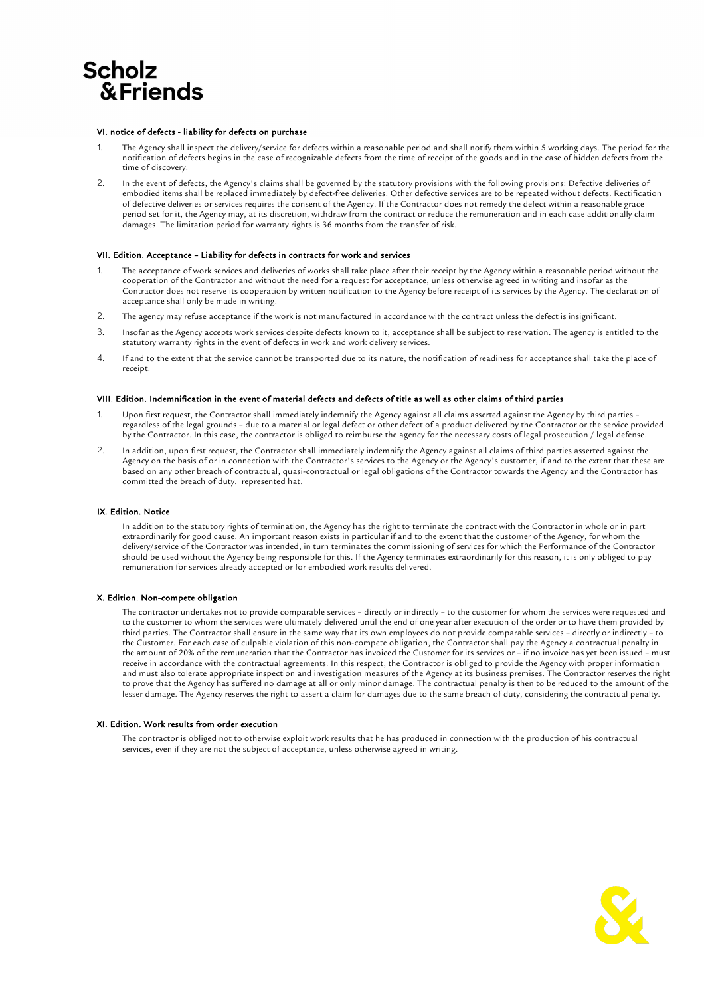

#### VI. notice of defects - liability for defects on purchase

- 1. The Agency shall inspect the delivery/service for defects within a reasonable period and shall notify them within 5 working days. The period for the notification of defects begins in the case of recognizable defects from the time of receipt of the goods and in the case of hidden defects from the time of discovery.
- 2. In the event of defects, the Agency's claims shall be governed by the statutory provisions with the following provisions: Defective deliveries of embodied items shall be replaced immediately by defect-free deliveries. Other defective services are to be repeated without defects. Rectification of defective deliveries or services requires the consent of the Agency. If the Contractor does not remedy the defect within a reasonable grace period set for it, the Agency may, at its discretion, withdraw from the contract or reduce the remuneration and in each case additionally claim damages. The limitation period for warranty rights is 36 months from the transfer of risk.

#### VII. Edition. Acceptance – Liability for defects in contracts for work and services

- 1. The acceptance of work services and deliveries of works shall take place after their receipt by the Agency within a reasonable period without the cooperation of the Contractor and without the need for a request for acceptance, unless otherwise agreed in writing and insofar as the Contractor does not reserve its cooperation by written notification to the Agency before receipt of its services by the Agency. The declaration of acceptance shall only be made in writing.
- 2. The agency may refuse acceptance if the work is not manufactured in accordance with the contract unless the defect is insignificant.
- 3. Insofar as the Agency accepts work services despite defects known to it, acceptance shall be subject to reservation. The agency is entitled to the statutory warranty rights in the event of defects in work and work delivery services.
- 4. If and to the extent that the service cannot be transported due to its nature, the notification of readiness for acceptance shall take the place of receipt.

# VIII. Edition. Indemnification in the event of material defects and defects of title as well as other claims of third parties

- 1. Upon first request, the Contractor shall immediately indemnify the Agency against all claims asserted against the Agency by third parties regardless of the legal grounds – due to a material or legal defect or other defect of a product delivered by the Contractor or the service provided by the Contractor. In this case, the contractor is obliged to reimburse the agency for the necessary costs of legal prosecution / legal defense.
- 2. In addition, upon first request, the Contractor shall immediately indemnify the Agency against all claims of third parties asserted against the Agency on the basis of or in connection with the Contractor's services to the Agency or the Agency's customer, if and to the extent that these are based on any other breach of contractual, quasi-contractual or legal obligations of the Contractor towards the Agency and the Contractor has committed the breach of duty. represented hat.

# IX. Edition. Notice

In addition to the statutory rights of termination, the Agency has the right to terminate the contract with the Contractor in whole or in part extraordinarily for good cause. An important reason exists in particular if and to the extent that the customer of the Agency, for whom the delivery/service of the Contractor was intended, in turn terminates the commissioning of services for which the Performance of the Contractor should be used without the Agency being responsible for this. If the Agency terminates extraordinarily for this reason, it is only obliged to pay remuneration for services already accepted or for embodied work results delivered.

#### X. Edition. Non-compete obligation

The contractor undertakes not to provide comparable services – directly or indirectly – to the customer for whom the services were requested and to the customer to whom the services were ultimately delivered until the end of one year after execution of the order or to have them provided by third parties. The Contractor shall ensure in the same way that its own employees do not provide comparable services – directly or indirectly – to the Customer. For each case of culpable violation of this non-compete obligation, the Contractor shall pay the Agency a contractual penalty in the amount of 20% of the remuneration that the Contractor has invoiced the Customer for its services or – if no invoice has yet been issued – must receive in accordance with the contractual agreements. In this respect, the Contractor is obliged to provide the Agency with proper information and must also tolerate appropriate inspection and investigation measures of the Agency at its business premises. The Contractor reserves the right to prove that the Agency has suffered no damage at all or only minor damage. The contractual penalty is then to be reduced to the amount of the lesser damage. The Agency reserves the right to assert a claim for damages due to the same breach of duty, considering the contractual penalty.

#### XI. Edition. Work results from order execution

The contractor is obliged not to otherwise exploit work results that he has produced in connection with the production of his contractual services, even if they are not the subject of acceptance, unless otherwise agreed in writing.

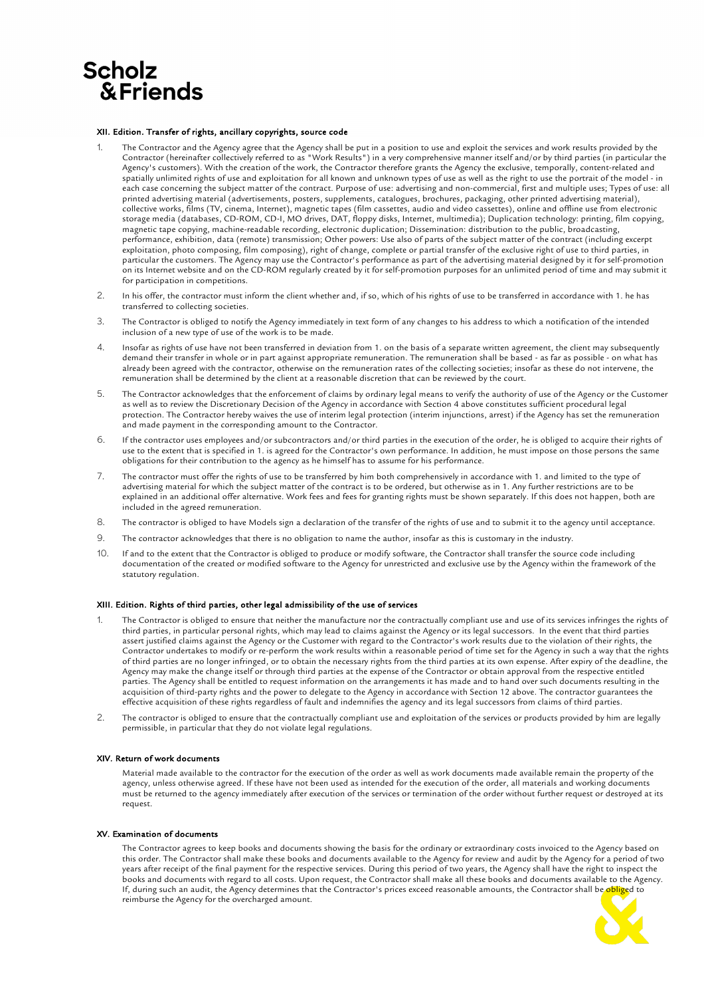# **Scholz &Friends**

# XII. Edition. Transfer of rights, ancillary copyrights, source code

- 1. The Contractor and the Agency agree that the Agency shall be put in a position to use and exploit the services and work results provided by the Contractor (hereinafter collectively referred to as "Work Results") in a very comprehensive manner itself and/or by third parties (in particular the Agency's customers). With the creation of the work, the Contractor therefore grants the Agency the exclusive, temporally, content-related and spatially unlimited rights of use and exploitation for all known and unknown types of use as well as the right to use the portrait of the model - in each case concerning the subject matter of the contract. Purpose of use: advertising and non-commercial, first and multiple uses; Types of use: all printed advertising material (advertisements, posters, supplements, catalogues, brochures, packaging, other printed advertising material), collective works, films (TV, cinema, Internet), magnetic tapes (film cassettes, audio and video cassettes), online and offline use from electronic storage media (databases, CD-ROM, CD-I, MO drives, DAT, floppy disks, Internet, multimedia); Duplication technology: printing, film copying, magnetic tape copying, machine-readable recording, electronic duplication; Dissemination: distribution to the public, broadcasting, performance, exhibition, data (remote) transmission; Other powers: Use also of parts of the subject matter of the contract (including excerpt exploitation, photo composing, film composing), right of change, complete or partial transfer of the exclusive right of use to third parties, in particular the customers. The Agency may use the Contractor's performance as part of the advertising material designed by it for self-promotion on its Internet website and on the CD-ROM regularly created by it for self-promotion purposes for an unlimited period of time and may submit it for participation in competitions.
- 2. In his offer, the contractor must inform the client whether and, if so, which of his rights of use to be transferred in accordance with 1. he has transferred to collecting societies.
- 3. The Contractor is obliged to notify the Agency immediately in text form of any changes to his address to which a notification of the intended inclusion of a new type of use of the work is to be made.
- 4. Insofar as rights of use have not been transferred in deviation from 1. on the basis of a separate written agreement, the client may subsequently demand their transfer in whole or in part against appropriate remuneration. The remuneration shall be based - as far as possible - on what has already been agreed with the contractor, otherwise on the remuneration rates of the collecting societies; insofar as these do not intervene, the remuneration shall be determined by the client at a reasonable discretion that can be reviewed by the court.
- 5. The Contractor acknowledges that the enforcement of claims by ordinary legal means to verify the authority of use of the Agency or the Customer as well as to review the Discretionary Decision of the Agency in accordance with Section 4 above constitutes sufficient procedural legal protection. The Contractor hereby waives the use of interim legal protection (interim injunctions, arrest) if the Agency has set the remuneration and made payment in the corresponding amount to the Contractor.
- 6. If the contractor uses employees and/or subcontractors and/or third parties in the execution of the order, he is obliged to acquire their rights of use to the extent that is specified in 1. is agreed for the Contractor's own performance. In addition, he must impose on those persons the same obligations for their contribution to the agency as he himself has to assume for his performance.
- 7. The contractor must offer the rights of use to be transferred by him both comprehensively in accordance with 1. and limited to the type of advertising material for which the subject matter of the contract is to be ordered, but otherwise as in 1. Any further restrictions are to be explained in an additional offer alternative. Work fees and fees for granting rights must be shown separately. If this does not happen, both are included in the agreed remuneration.
- 8. The contractor is obliged to have Models sign a declaration of the transfer of the rights of use and to submit it to the agency until acceptance.
- 9. The contractor acknowledges that there is no obligation to name the author, insofar as this is customary in the industry.
- 10. If and to the extent that the Contractor is obliged to produce or modify software, the Contractor shall transfer the source code including documentation of the created or modified software to the Agency for unrestricted and exclusive use by the Agency within the framework of the statutory regulation.

# XIII. Edition. Rights of third parties, other legal admissibility of the use of services

- The Contractor is obliged to ensure that neither the manufacture nor the contractually compliant use and use of its services infringes the rights of third parties, in particular personal rights, which may lead to claims against the Agency or its legal successors. In the event that third parties assert justified claims against the Agency or the Customer with regard to the Contractor's work results due to the violation of their rights, the Contractor undertakes to modify or re-perform the work results within a reasonable period of time set for the Agency in such a way that the rights of third parties are no longer infringed, or to obtain the necessary rights from the third parties at its own expense. After expiry of the deadline, the Agency may make the change itself or through third parties at the expense of the Contractor or obtain approval from the respective entitled parties. The Agency shall be entitled to request information on the arrangements it has made and to hand over such documents resulting in the acquisition of third-party rights and the power to delegate to the Agency in accordance with Section 12 above. The contractor guarantees the effective acquisition of these rights regardless of fault and indemnifies the agency and its legal successors from claims of third parties.
- 2. The contractor is obliged to ensure that the contractually compliant use and exploitation of the services or products provided by him are legally permissible, in particular that they do not violate legal regulations.

# XIV. Return of work documents

Material made available to the contractor for the execution of the order as well as work documents made available remain the property of the agency, unless otherwise agreed. If these have not been used as intended for the execution of the order, all materials and working documents must be returned to the agency immediately after execution of the services or termination of the order without further request or destroyed at its request.

#### XV. Examination of documents

The Contractor agrees to keep books and documents showing the basis for the ordinary or extraordinary costs invoiced to the Agency based on this order. The Contractor shall make these books and documents available to the Agency for review and audit by the Agency for a period of two years after receipt of the final payment for the respective services. During this period of two years, the Agency shall have the right to inspect the books and documents with regard to all costs. Upon request, the Contractor shall make all these books and documents available to the Agency. If, during such an audit, the Agency determines that the Contractor's prices exceed reasonable amounts, the Contractor shall be obliged to reimburse the Agency for the overcharged amount.